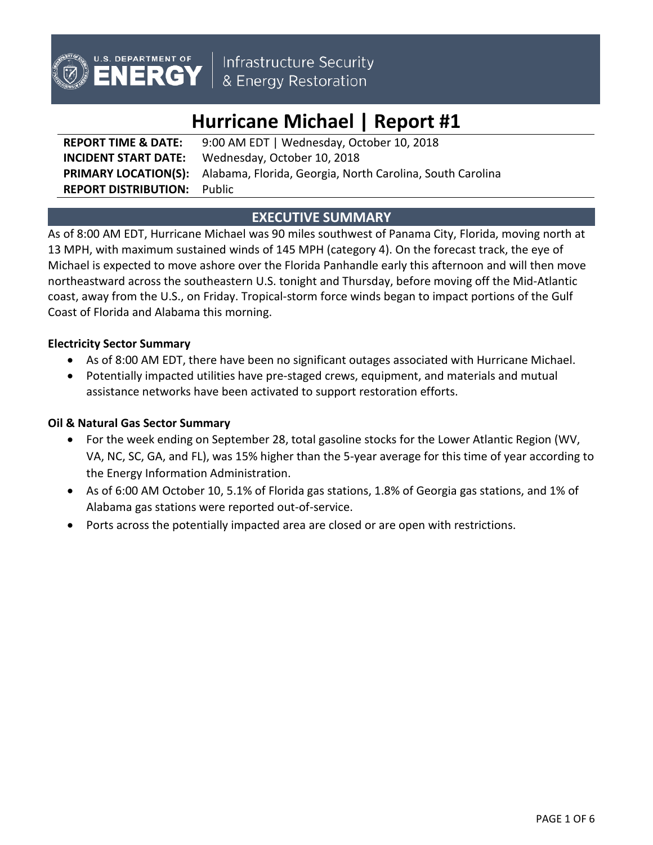

Infrastructure Security<br>& Energy Restoration

# **Hurricane Michael | Report #1**

**REPORT TIME & DATE:** 9:00 AM EDT | Wednesday, October 10, 2018 **INCIDENT START DATE:** Wednesday, October 10, 2018 **PRIMARY LOCATION(S):** Alabama, Florida, Georgia, North Carolina, South Carolina **REPORT DISTRIBUTION:** Public

# **EXECUTIVE SUMMARY**

As of 8:00 AM EDT, Hurricane Michael was 90 miles southwest of Panama City, Florida, moving north at 13 MPH, with maximum sustained winds of 145 MPH (category 4). On the forecast track, the eye of Michael is expected to move ashore over the Florida Panhandle early this afternoon and will then move northeastward across the southeastern U.S. tonight and Thursday, before moving off the Mid-Atlantic coast, away from the U.S., on Friday. Tropical-storm force winds began to impact portions of the Gulf Coast of Florida and Alabama this morning.

## **Electricity Sector Summary**

- As of 8:00 AM EDT, there have been no significant outages associated with Hurricane Michael.
- Potentially impacted utilities have pre-staged crews, equipment, and materials and mutual assistance networks have been activated to support restoration efforts.

## **Oil & Natural Gas Sector Summary**

- For the week ending on September 28, total gasoline stocks for the Lower Atlantic Region (WV, VA, NC, SC, GA, and FL), was 15% higher than the 5-year average for this time of year according to the Energy Information Administration.
- As of 6:00 AM October 10, 5.1% of Florida gas stations, 1.8% of Georgia gas stations, and 1% of Alabama gas stations were reported out-of-service.
- Ports across the potentially impacted area are closed or are open with restrictions.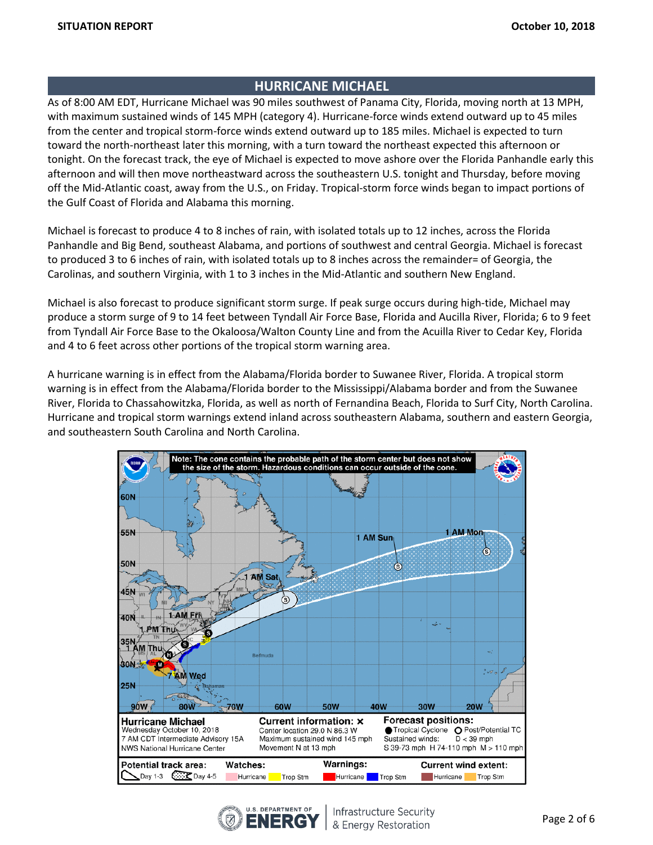# **HURRICANE MICHAEL**

As of 8:00 AM EDT, Hurricane Michael was 90 miles southwest of Panama City, Florida, moving north at 13 MPH, with maximum sustained winds of 145 MPH (category 4). Hurricane-force winds extend outward up to 45 miles from the center and tropical storm-force winds extend outward up to 185 miles. Michael is expected to turn toward the north-northeast later this morning, with a turn toward the northeast expected this afternoon or tonight. On the forecast track, the eye of Michael is expected to move ashore over the Florida Panhandle early this afternoon and will then move northeastward across the southeastern U.S. tonight and Thursday, before moving off the Mid-Atlantic coast, away from the U.S., on Friday. Tropical-storm force winds began to impact portions of the Gulf Coast of Florida and Alabama this morning.

Michael is forecast to produce 4 to 8 inches of rain, with isolated totals up to 12 inches, across the Florida Panhandle and Big Bend, southeast Alabama, and portions of southwest and central Georgia. Michael is forecast to produced 3 to 6 inches of rain, with isolated totals up to 8 inches across the remainder= of Georgia, the Carolinas, and southern Virginia, with 1 to 3 inches in the Mid-Atlantic and southern New England.

Michael is also forecast to produce significant storm surge. If peak surge occurs during high-tide, Michael may produce a storm surge of 9 to 14 feet between Tyndall Air Force Base, Florida and Aucilla River, Florida; 6 to 9 feet from Tyndall Air Force Base to the Okaloosa/Walton County Line and from the Acuilla River to Cedar Key, Florida and 4 to 6 feet across other portions of the tropical storm warning area.

A hurricane warning is in effect from the Alabama/Florida border to Suwanee River, Florida. A tropical storm warning is in effect from the Alabama/Florida border to the Mississippi/Alabama border and from the Suwanee River, Florida to Chassahowitzka, Florida, as well as north of Fernandina Beach, Florida to Surf City, North Carolina. Hurricane and tropical storm warnings extend inland across southeastern Alabama, southern and eastern Georgia, and southeastern South Carolina and North Carolina.



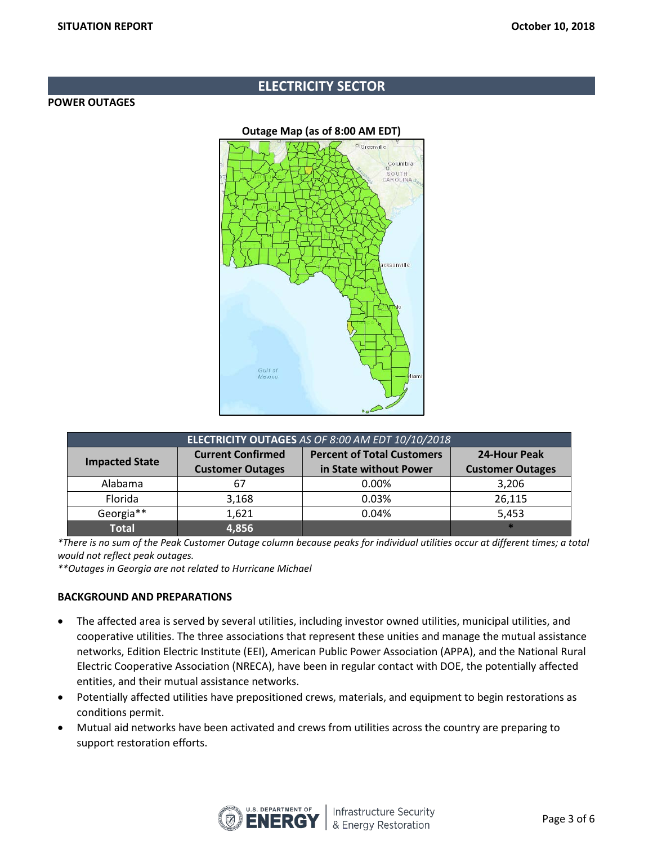## **ELECTRICITY SECTOR**

#### **POWER OUTAGES**



| ELECTRICITY OUTAGES AS OF 8:00 AM EDT 10/10/2018 |                          |                                   |                         |  |
|--------------------------------------------------|--------------------------|-----------------------------------|-------------------------|--|
| <b>Impacted State</b>                            | <b>Current Confirmed</b> | <b>Percent of Total Customers</b> | 24-Hour Peak            |  |
|                                                  | <b>Customer Outages</b>  | in State without Power            | <b>Customer Outages</b> |  |
| Alabama                                          |                          | 0.00%                             | 3,206                   |  |
| Florida                                          | 3,168                    | 0.03%                             | 26,115                  |  |
| Georgia**                                        | 1.621                    | 0.04%                             | 5,453                   |  |
| <b>Total</b>                                     | 4,856                    |                                   |                         |  |

*\*There is no sum of the Peak Customer Outage column because peaks for individual utilities occur at different times; a total would not reflect peak outages.*

*\*\*Outages in Georgia are not related to Hurricane Michael* 

### **BACKGROUND AND PREPARATIONS**

- The affected area is served by several utilities, including investor owned utilities, municipal utilities, and cooperative utilities. The three associations that represent these unities and manage the mutual assistance networks, Edition Electric Institute (EEI), American Public Power Association (APPA), and the National Rural Electric Cooperative Association (NRECA), have been in regular contact with DOE, the potentially affected entities, and their mutual assistance networks.
- Potentially affected utilities have prepositioned crews, materials, and equipment to begin restorations as conditions permit.
- Mutual aid networks have been activated and crews from utilities across the country are preparing to support restoration efforts.

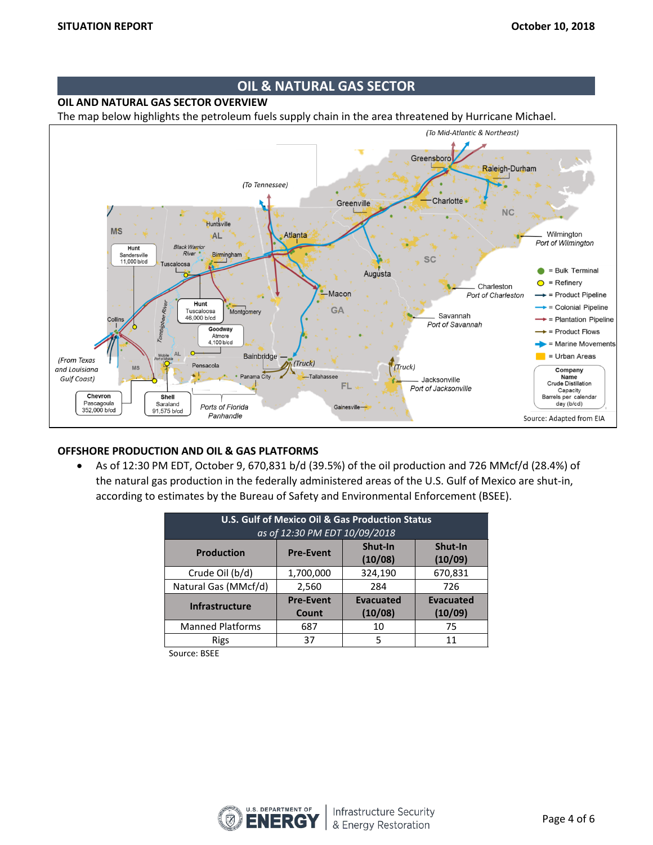## **OIL & NATURAL GAS SECTOR**

**OIL AND NATURAL GAS SECTOR OVERVIEW**

The map below highlights the petroleum fuels supply chain in the area threatened by Hurricane Michael.



#### **OFFSHORE PRODUCTION AND OIL & GAS PLATFORMS**

• As of 12:30 PM EDT, October 9, 670,831 b/d (39.5%) of the oil production and 726 MMcf/d (28.4%) of the natural gas production in the federally administered areas of the U.S. Gulf of Mexico are shut-in, according to estimates by the Bureau of Safety and Environmental Enforcement (BSEE).

| <b>U.S. Gulf of Mexico Oil &amp; Gas Production Status</b><br>as of 12:30 PM EDT 10/09/2018 |                           |                             |                             |  |  |
|---------------------------------------------------------------------------------------------|---------------------------|-----------------------------|-----------------------------|--|--|
| <b>Production</b>                                                                           | <b>Pre-Event</b>          | Shut-In<br>(10/08)          | Shut-In<br>(10/09)          |  |  |
| Crude Oil (b/d)                                                                             | 1,700,000                 | 324,190                     | 670,831                     |  |  |
| Natural Gas (MMcf/d)                                                                        | 2,560                     | 284                         | 726                         |  |  |
| <b>Infrastructure</b>                                                                       | <b>Pre-Event</b><br>Count | <b>Evacuated</b><br>(10/08) | <b>Evacuated</b><br>(10/09) |  |  |
| <b>Manned Platforms</b>                                                                     | 687                       | 10                          | 75                          |  |  |
| Rigs                                                                                        | 37                        | 5                           | 11                          |  |  |

Source: BSEE

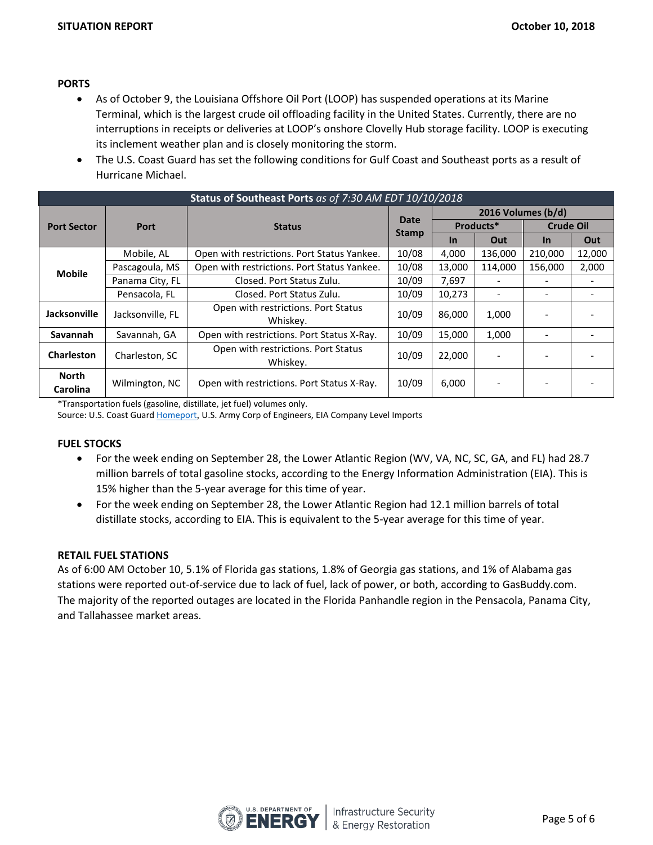### **PORTS**

- As of October 9, the Louisiana Offshore Oil Port (LOOP) has suspended operations at its Marine Terminal, which is the largest crude oil offloading facility in the United States. Currently, there are no interruptions in receipts or deliveries at LOOP's onshore Clovelly Hub storage facility. LOOP is executing its inclement weather plan and is closely monitoring the storm.
- The U.S. Coast Guard has set the following conditions for Gulf Coast and Southeast ports as a result of Hurricane Michael.

| Status of Southeast Ports as of 7:30 AM EDT 10/10/2018 |                  |                                                 |                             |                    |         |                  |        |
|--------------------------------------------------------|------------------|-------------------------------------------------|-----------------------------|--------------------|---------|------------------|--------|
| <b>Port Sector</b>                                     | Port             | <b>Status</b>                                   | <b>Date</b><br><b>Stamp</b> | 2016 Volumes (b/d) |         |                  |        |
|                                                        |                  |                                                 |                             | Products*          |         | <b>Crude Oil</b> |        |
|                                                        |                  |                                                 |                             | <b>In</b>          | Out     | $\ln$            | Out    |
| <b>Mobile</b>                                          | Mobile, AL       | Open with restrictions. Port Status Yankee.     | 10/08                       | 4.000              | 136,000 | 210,000          | 12,000 |
|                                                        | Pascagoula, MS   | Open with restrictions. Port Status Yankee.     | 10/08                       | 13,000             | 114.000 | 156,000          | 2,000  |
|                                                        | Panama City, FL  | Closed. Port Status Zulu.                       | 10/09                       | 7,697              |         |                  |        |
|                                                        | Pensacola, FL    | Closed. Port Status Zulu.                       | 10/09                       | 10,273             |         |                  |        |
| Jacksonville                                           | Jacksonville, FL | Open with restrictions. Port Status<br>Whiskey. | 10/09                       | 86,000             | 1,000   |                  |        |
| Savannah                                               | Savannah, GA     | Open with restrictions. Port Status X-Ray.      | 10/09                       | 15,000             | 1,000   | -                |        |
| <b>Charleston</b>                                      | Charleston, SC   | Open with restrictions. Port Status<br>Whiskey. | 10/09                       | 22,000             |         |                  |        |
| <b>North</b><br>Carolina                               | Wilmington, NC   | Open with restrictions. Port Status X-Ray.      | 10/09                       | 6,000              |         |                  |        |

\*Transportation fuels (gasoline, distillate, jet fuel) volumes only.

Source: U.S. Coast Guard [Homeport](https://homeport.uscg.mil/port-directory/honolulu), U.S. Army Corp of Engineers, EIA Company Level Imports

#### **FUEL STOCKS**

- For the week ending on September 28, the Lower Atlantic Region (WV, VA, NC, SC, GA, and FL) had 28.7 million barrels of total gasoline stocks, according to the Energy Information Administration (EIA). This is 15% higher than the 5-year average for this time of year.
- For the week ending on September 28, the Lower Atlantic Region had 12.1 million barrels of total distillate stocks, according to EIA. This is equivalent to the 5-year average for this time of year.

#### **RETAIL FUEL STATIONS**

As of 6:00 AM October 10, 5.1% of Florida gas stations, 1.8% of Georgia gas stations, and 1% of Alabama gas stations were reported out-of-service due to lack of fuel, lack of power, or both, according to GasBuddy.com. The majority of the reported outages are located in the Florida Panhandle region in the Pensacola, Panama City, and Tallahassee market areas.